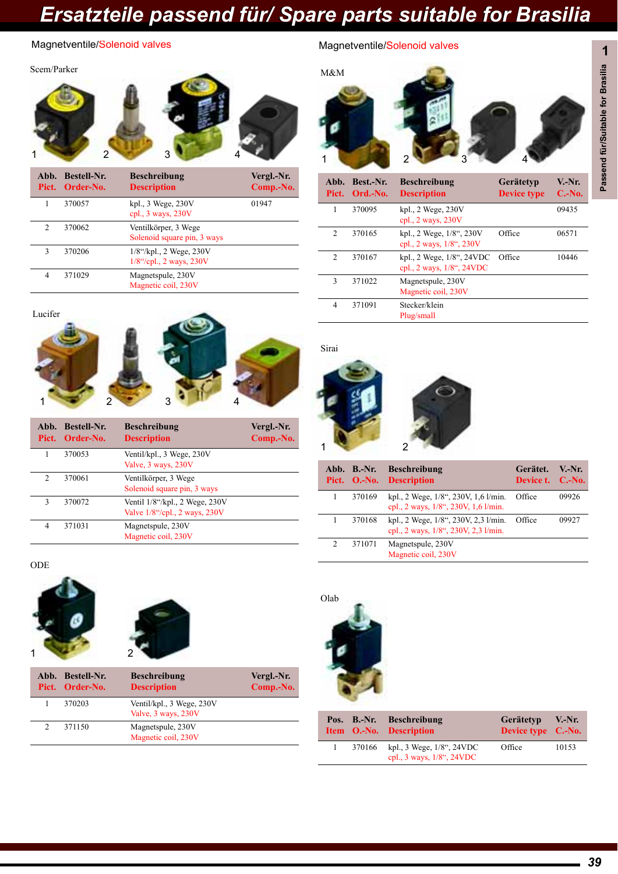

|               | Abb. Bestell-Nr.<br>Pict. Order-No. | <b>Beschreibung</b><br><b>Description</b>                  | Vergl.-Nr.<br>Comp.-No. |
|---------------|-------------------------------------|------------------------------------------------------------|-------------------------|
|               | 370057                              | $kpl.$ , 3 Wege, $230V$<br>cpl., 3 ways, 230V              | 01947                   |
| $\mathcal{L}$ | 370062                              | Ventilkörper, 3 Wege<br>Solenoid square pin, 3 ways        |                         |
| 3             | 370206                              | $1/8$ "/kpl., 2 Wege, $230V$<br>$1/8$ "/cpl., 2 ways, 230V |                         |
| 4             | 371029                              | Magnetspule, 230V<br>Magnetic coil, 230V                   |                         |



|                | Abb. Bestell-Nr.<br>Pict. Order-No. | <b>Beschreibung</b><br><b>Description</b>                       | Vergl.-Nr.<br>Comp.-No. |
|----------------|-------------------------------------|-----------------------------------------------------------------|-------------------------|
|                | 370053                              | Ventil/kpl., 3 Wege, 230V<br>Valve, 3 ways, 230V                |                         |
| $\mathfrak{D}$ | 370061                              | Ventilkörper, 3 Wege<br>Solenoid square pin, 3 ways             |                         |
| 3              | 370072                              | Ventil 1/8"/kpl., 2 Wege, 230V<br>Valve 1/8"/cpl., 2 ways, 230V |                         |
| 4              | 371031                              | Magnetspule, 230V<br>Magnetic coil, 230V                        |                         |

ODE





| Abb. Bestell-Nr.<br>Pict. Order-No. | <b>Beschreibung</b><br><b>Description</b>        | Vergl.-Nr.<br>Comp.-No. |
|-------------------------------------|--------------------------------------------------|-------------------------|
| 370203                              | Ventil/kpl., 3 Wege, 230V<br>Valve, 3 ways, 230V |                         |
| 371150                              | Magnetspule, 230V<br>Magnetic coil, 230V         |                         |

### **1** Magnetventile/Solenoid valves Magnetventile/Solenoid valves



| Abb.<br>Pict.  | Best.-Nr.<br>Ord.-No. | <b>Beschreibung</b><br><b>Description</b>              | Gerätetyp<br><b>Device type</b> | $V.-Nr.$<br>$C.-No.$ |
|----------------|-----------------------|--------------------------------------------------------|---------------------------------|----------------------|
| 1              | 370095                | kpl., 2 Wege, 230V<br>cpl., $2$ ways, $230V$           |                                 | 09435                |
| $\mathfrak{D}$ | 370165                | kpl., 2 Wege, 1/8", 230V<br>cpl., 2 ways, 1/8", 230V   | Office                          | 06571                |
| $\mathcal{D}$  | 370167                | kpl., 2 Wege, 1/8", 24VDC<br>cpl., 2 ways, 1/8", 24VDC | Office                          | 10446                |
| 3              | 371022                | Magnetspule, 230V<br>Magnetic coil, 230V               |                                 |                      |
| $\overline{4}$ | 371091                | Stecker/klein<br>Plug/small                            |                                 |                      |

Sirai



|   | Abb. B.-Nr. | <b>Beschreibung</b><br>Pict. O.-No. Description                              | Gerätet.<br>Device t. C.-No. | $V-Nr$ |
|---|-------------|------------------------------------------------------------------------------|------------------------------|--------|
|   | 370169      | kpl., 2 Wege, 1/8", 230V, 1,6 l/min.<br>cpl., 2 ways, 1/8", 230V, 1,6 1/min. | Office                       | 09926  |
|   | 370168      | kpl., 2 Wege, 1/8", 230V, 2,3 l/min.<br>cpl., 2 ways, 1/8", 230V, 2,3 l/min. | Office                       | 09927  |
| 2 | 371071      | Magnetspule, 230V<br>Magnetic coil, 230V                                     |                              |        |



|        | Pos. B.-Nr. Beschreibung<br>Item O.-No. Description    | Gerätetyp V.-Nr.<br>Device type C.-No. |       |
|--------|--------------------------------------------------------|----------------------------------------|-------|
| 370166 | kpl., 3 Wege, 1/8", 24VDC<br>cpl., 3 ways, 1/8", 24VDC | Office                                 | 10153 |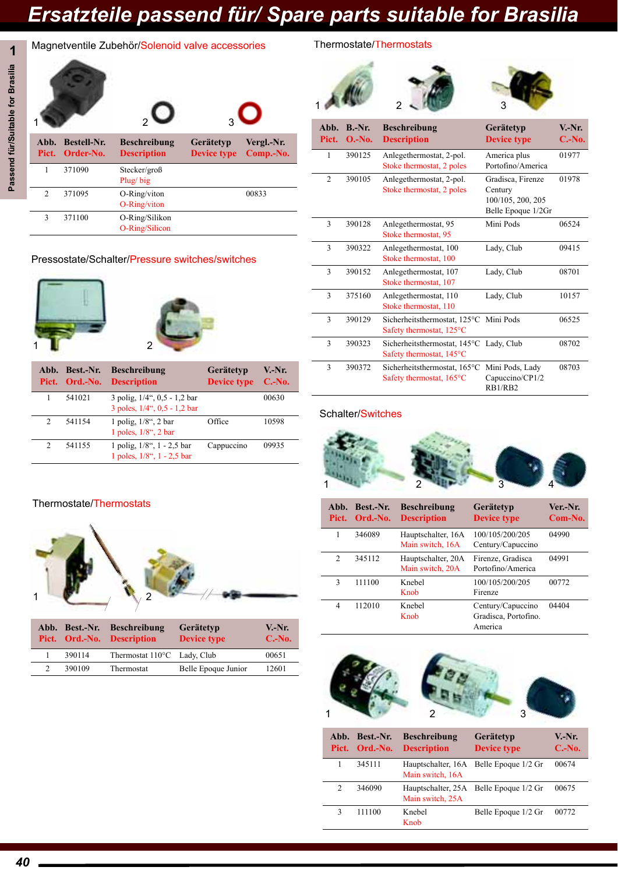# Passend für/Suitable for Brasilia **Passend für/Suitable for Brasilia**

### **1** Magnetventile Zubehör/Solenoid valve accessories

|                |                                       |                                           |                                 | Ő                       |
|----------------|---------------------------------------|-------------------------------------------|---------------------------------|-------------------------|
| Abb.           | <b>Bestell-Nr.</b><br>Pict. Order-No. | <b>Beschreibung</b><br><b>Description</b> | Gerätetyp<br><b>Device type</b> | Vergl.-Nr.<br>Comp.-No. |
| 1              | 371090                                | Stecker/groß<br>Plug/big                  |                                 |                         |
| $\overline{2}$ | 371095                                | O-Ring/viton<br>O-Ring/viton              |                                 | 00833                   |
| 3              | 371100                                | O-Ring/Silikon<br>O-Ring/Silicon          |                                 |                         |

### Pressostate/Schalter/Pressure switches/switches



|               | Abb. Best.-Nr.<br>Pict. Ord.-No. | <b>Beschreibung</b><br><b>Description</b>                     | Gerätetyp<br><b>Device type</b> | $V-Nr.$<br>$C.-No.$ |
|---------------|----------------------------------|---------------------------------------------------------------|---------------------------------|---------------------|
|               | 541021                           | 3 polig, 1/4", 0,5 - 1,2 bar<br>3 poles, 1/4", 0,5 - 1,2 bar  |                                 | 00630               |
| $\mathcal{D}$ | 541154                           | 1 polig, $1/8$ ", 2 bar<br>1 poles, $1/8$ ", 2 bar            | Office                          | 10598               |
| $\mathcal{D}$ | 541155                           | 1 polig, 1/8", 1 - 2,5 bar<br>1 poles, $1/8$ ", $1 - 2.5$ bar | Cappuccino                      | 09935               |

### Thermostate/Thermostats



|  |        | Abb. Best.-Nr. Beschreibung<br>Pict. Ord.-No. Description | Gerätetyp<br><b>Device type</b> | V.-Nr.<br>$C.-No.$ |
|--|--------|-----------------------------------------------------------|---------------------------------|--------------------|
|  | 390114 | Thermostat 110°C Lady, Club                               |                                 | 00651              |
|  | 390109 | Thermostat                                                | Belle Epoque Junior             | 12601              |
|  |        |                                                           |                                 |                    |

### Thermostate/Thermostats



#### Schalter/Switches



| Abb.<br>Pict.  | Best.-Nr.<br>Ord.-No. | <b>Beschreibung</b><br><b>Description</b> | Gerätetyp<br><b>Device type</b>                      | Ver-Nr.<br>Com-No. |
|----------------|-----------------------|-------------------------------------------|------------------------------------------------------|--------------------|
|                | 346089                | Hauptschalter, 16A<br>Main switch, 16A    | 100/105/200/205<br>Century/Capuccino                 | 04990              |
| $\overline{c}$ | 345112                | Hauptschalter, 20A<br>Main switch, 20A    | Firenze, Gradisca<br>Portofino/America               | 04991              |
| 3              | 111100                | Knebel<br>Knob                            | 100/105/200/205<br>Firenze                           | 00772              |
| 4              | 112010                | <b>K</b> nebel<br>Knob                    | Century/Capuccino<br>Gradisca, Portofino.<br>America | 04404              |



|   | Abb. Best.-Nr.<br>Pict. Ord.-No. | <b>Beschreibung</b><br><b>Description</b> | Gerätetyp<br><b>Device type</b> | V.-Nr.<br>$C.-No.$ |
|---|----------------------------------|-------------------------------------------|---------------------------------|--------------------|
|   | 345111                           | Hauptschalter, 16A<br>Main switch, 16A    | Belle Epoque 1/2 Gr             | 00674              |
| 2 | 346090                           | Hauptschalter, 25A<br>Main switch, 25A    | Belle Epoque 1/2 Gr             | 00675              |
| 3 | 111100                           | Knebel<br>Knob                            | Belle Epoque 1/2 Gr             | 00772              |
|   |                                  |                                           |                                 |                    |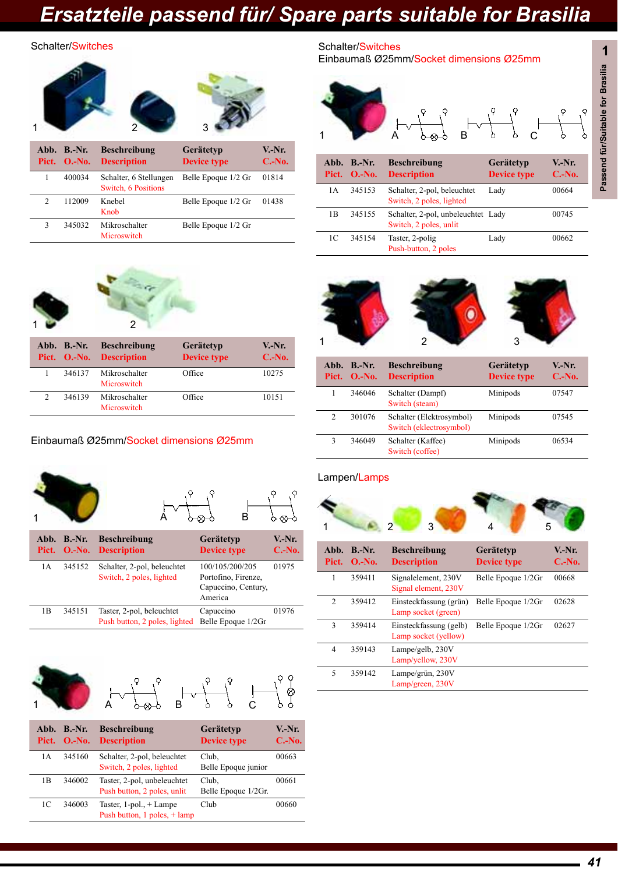#### Schalter/Switches



|   | 112009 | Knebel<br>Knob               | Belle Epoque 1/2 Gr | 01438 |
|---|--------|------------------------------|---------------------|-------|
| 3 | 345032 | Mikroschalter<br>Microswitch | Belle Epoque 1/2 Gr |       |



| Abb. B.-Nr. | <b>Beschreibung</b><br>Pict. O.-No. Description | <b>Gerätetyp</b><br>Device type | $V-Nr.$<br>$C.-No.$ |
|-------------|-------------------------------------------------|---------------------------------|---------------------|
| 346137      | Mikroschalter<br>Microswitch                    | Office                          | 10275               |
| 346139      | Mikroschalter<br>Microswitch                    | Office                          | 10151               |

### Einbaumaß Ø25mm/Socket dimensions Ø25mm





|     | Abb. B.-Nr.<br>Pict. O.-No. | <b>Beschreibung</b><br><b>Description</b>                  | Gerätetyp<br><b>Device type</b>                                          | $V.-Nr.$<br>$C.-No.$ |
|-----|-----------------------------|------------------------------------------------------------|--------------------------------------------------------------------------|----------------------|
| 1 A | 345152                      | Schalter, 2-pol, beleuchtet<br>Switch, 2 poles, lighted    | 100/105/200/205<br>Portofino, Firenze,<br>Capuccino, Century,<br>America | 01975                |
| 1B  | 345151                      | Taster, 2-pol, beleuchtet<br>Push button, 2 poles, lighted | Capuccino<br>Belle Epoque 1/2Gr                                          | 01976                |







|     | Abb. B.-Nr.<br>Pict. O.-No. | <b>Beschreibung</b><br><b>Description</b>                    | Gerätetyp<br><b>Device type</b> | $V-Nr$ .<br>$C.-No.$ |
|-----|-----------------------------|--------------------------------------------------------------|---------------------------------|----------------------|
| 1 A | 345160                      | Schalter, 2-pol, beleuchtet<br>Switch, 2 poles, lighted      | Club.<br>Belle Epoque junior    | 00663                |
| 1B  | 346002                      | Taster, 2-pol, unbeleuchtet<br>Push button, 2 poles, unlit   | Club.<br>Belle Epoque 1/2Gr.    | 00661                |
| 1C  | 346003                      | Taster, $1$ -pol., $+$ Lampe<br>Push button, 1 poles, + lamp | Club                            | 00660                |

Schalter/Switches Einbaumaß Ø25mm/Socket dimensions Ø25mm





|   | Pict. O.-No. | <b>Description</b>                                  | $       -$<br><b>Device type</b> | .<br>$C.-No.$ |
|---|--------------|-----------------------------------------------------|----------------------------------|---------------|
|   | 346046       | Schalter (Dampf)<br>Switch (steam)                  | Minipods                         | 07547         |
|   | 301076       | Schalter (Elektrosymbol)<br>Switch (eklectrosymbol) | Minipods                         | 07545         |
| 3 | 346049       | Schalter (Kaffee)<br>Switch (coffee)                | Minipods                         | 06534         |

#### Lampen/Lamps



| Abb.<br>Pict.  | $B.-Nr.$<br>$O.-No.$ | <b>Beschreibung</b><br><b>Description</b>      | Gerätetyp<br><b>Device type</b> | V.-Nr.<br>$C.-No.$ |
|----------------|----------------------|------------------------------------------------|---------------------------------|--------------------|
| 1              | 359411               | Signalelement, 230V<br>Signal element, 230V    | Belle Epoque 1/2Gr              | 00668              |
| $\overline{c}$ | 359412               | Einsteckfassung (grün)<br>Lamp socket (green)  | Belle Epoque 1/2Gr              | 02628              |
| 3              | 359414               | Einsteckfassung (gelb)<br>Lamp socket (yellow) | Belle Epoque 1/2Gr              | 02627              |
| $\overline{4}$ | 359143               | Lampe/gelb, 230V<br>Lamp/yellow, 230V          |                                 |                    |
| 5              | 359142               | Lampe/grün, 230V<br>Lamp/green, 230V           |                                 |                    |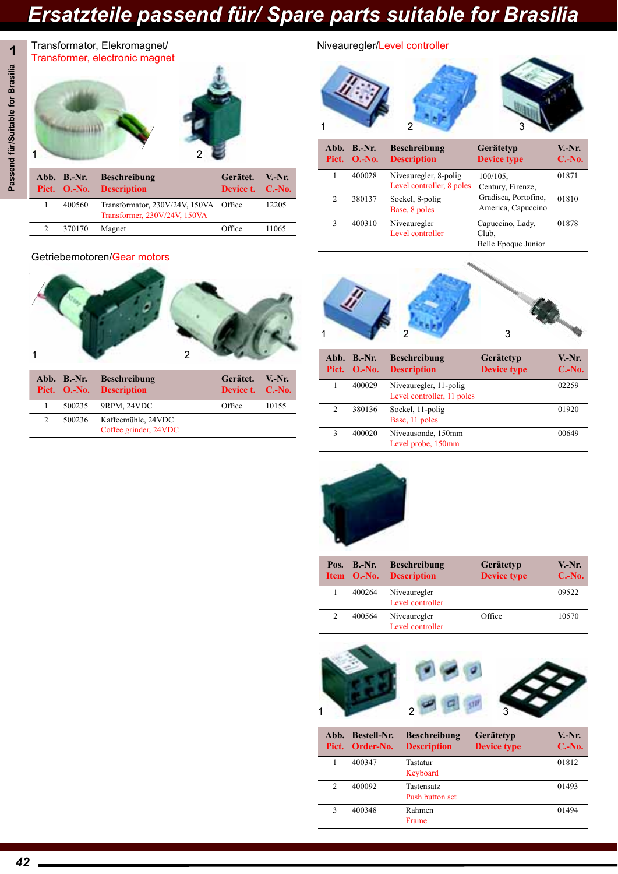

|        | Pict. O.-No. Description                                              | Device t. C.-No. |       |
|--------|-----------------------------------------------------------------------|------------------|-------|
| 400560 | Transformator, 230V/24V, 150VA Office<br>Transformer, 230V/24V, 150VA |                  | 12205 |
| 370170 | Magnet                                                                | Office           | 11065 |

#### Getriebemotoren/Gear motors



|   | Abb. B.-Nr. Beschreibung<br>Pict. O.-No. Description | Gerätet. V.-Nr.<br>Device t. C.-No. |       |
|---|------------------------------------------------------|-------------------------------------|-------|
|   | 500235 9RPM, 24VDC                                   | Office                              | 10155 |
| 2 | 500236 Kaffeemühle, 24VDC<br>Coffee grinder, 24VDC   |                                     |       |

#### Niveauregler/Level controller





| Pict.          | Abb. B.-Nr.<br>$O.-No.$ | <b>Beschreibung</b><br><b>Description</b>            | Gerätetyp<br><b>Device type</b> | V.-Nr.<br>$C.-No.$ |
|----------------|-------------------------|------------------------------------------------------|---------------------------------|--------------------|
|                | 400029                  | Niveauregler, 11-polig<br>Level controller, 11 poles |                                 | 02259              |
| $\mathfrak{D}$ | 380136                  | Sockel, 11-polig<br>Base, 11 poles                   |                                 | 01920              |
| ٩              | 400020                  | Niveausonde, 150mm<br>Level probe, 150mm             |                                 | 00649              |



|                | Pos. $B.-Nr.$<br>Item O.-No. | <b>Beschreibung</b><br><b>Description</b> | <b>Gerätetyp</b><br><b>Device type</b> | V.-Nr.<br>$C.-No.$ |
|----------------|------------------------------|-------------------------------------------|----------------------------------------|--------------------|
|                | 400264                       | Niveauregler<br>Level controller          |                                        | 09522              |
| $\overline{c}$ | 400564                       | Niveauregler<br>Level controller          | Office                                 | 10570              |



|               | Abb. Bestell-Nr.<br>Pict. Order-No. | <b>Beschreibung</b><br><b>Description</b> | Gerätetyp<br><b>Device type</b> | V.-Nr.<br>$C.-No.$ |
|---------------|-------------------------------------|-------------------------------------------|---------------------------------|--------------------|
|               | 400347                              | Tastatur<br>Keyboard                      |                                 | 01812              |
| $\mathcal{D}$ | 400092                              | Tastensatz<br>Push button set             |                                 | 01493              |
| 3             | 400348                              | Rahmen<br>Frame                           |                                 | 01494              |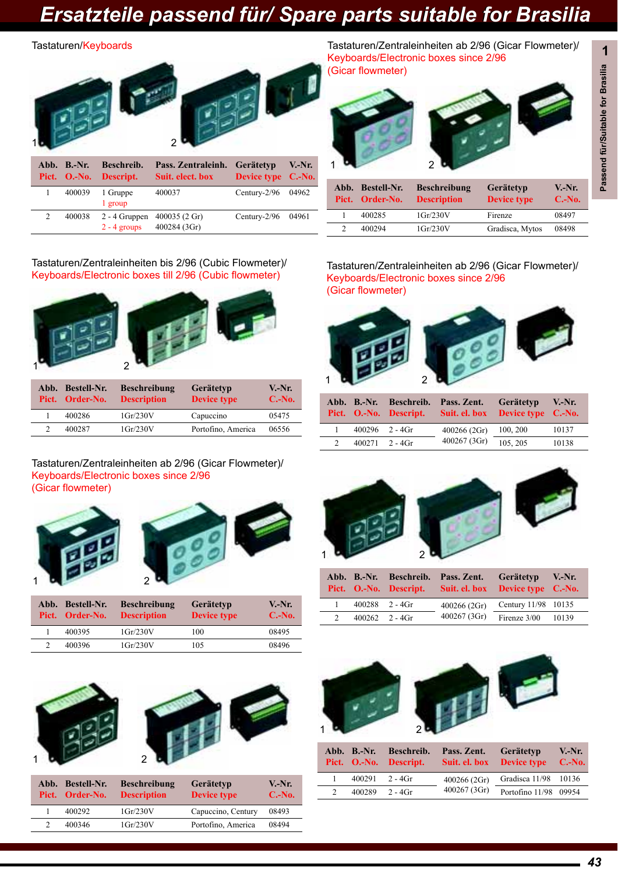#### Tastaturen/Keyboards



2 400038 2 - 4 Gruppen 2 - 4 groups 400035 (2 Gr) 400284 (3Gr) Century-2/96 04961

#### Tastaturen/Zentraleinheiten bis 2/96 (Cubic Flowmeter)/ Keyboards/Electronic boxes till 2/96 (Cubic flowmeter)



|  | Abb. Bestell-Nr.<br>Pict. Order-No. | <b>Beschreibung</b><br><b>Description</b> | Gerätetyp<br><b>Device type</b> | $V.-Nr.$<br>$C.-No.$ |
|--|-------------------------------------|-------------------------------------------|---------------------------------|----------------------|
|  | 400286                              | $1 \text{Gr}/230 \text{V}$                | Capuccino                       | 05475                |
|  | 400287                              | $1$ Gr/230V                               | Portofino, America              | 06556                |

#### Tastaturen/Zentraleinheiten ab 2/96 (Gicar Flowmeter)/ Keyboards/Electronic boxes since 2/96 (Gicar flowmeter)





| Abb. Bestell-Nr.<br>Pict. Order-No. | <b>Beschreibung</b><br><b>Description</b> | Gerätetyp<br><b>Device type</b> | $V-Nr.$<br>$C.-No.$ |
|-------------------------------------|-------------------------------------------|---------------------------------|---------------------|
| 400395                              | $1$ Gr/230V                               | 100                             | 08495               |
| 400396                              | $1$ Gr/230V                               | 105                             | 08496               |



| Abb. | <b>Bestell-Nr.</b><br>Pict. Order-No. | <b>Beschreibung</b><br><b>Description</b> | Gerätetyp<br><b>Device type</b> | V.-Nr.<br>$C.-No.$ |
|------|---------------------------------------|-------------------------------------------|---------------------------------|--------------------|
|      | 400292                                | $1$ Gr $/230$ V                           | Capuccino, Century              | 08493              |
|      | 400346                                | $1$ Gr/230V                               | Portofino, America              | 08494              |
|      |                                       |                                           |                                 |                    |

Tastaturen/Zentraleinheiten ab 2/96 (Gicar Flowmeter)/ Keyboards/Electronic boxes since 2/96 (Gicar flowmeter)



| Abb. Bestell-Nr.<br>Pict. Order-No. | <b>Beschreibung</b><br><b>Description</b> | Gerätetyp<br><b>Device type</b> | $V.-Nr.$<br>$C.-No.$ |
|-------------------------------------|-------------------------------------------|---------------------------------|----------------------|
| 400285                              | $1$ Gr $/230$ V                           | Firenze                         | 08497                |
| 400294                              | $1$ Gr $/230$ V                           | Gradisca, Mytos                 | 08498                |

#### Tastaturen/Zentraleinheiten ab 2/96 (Gicar Flowmeter)/ Keyboards/Electronic boxes since 2/96 (Gicar flowmeter)



|                    | Abb. B.-Nr. Beschreib. Pass. Zent.<br>Pict. O.-No. Descript. Suit. el. box Device type C.-No. | Gerätetyp V.-Nr. |       |
|--------------------|-----------------------------------------------------------------------------------------------|------------------|-------|
| $400296$ 2 - $4Gr$ | 400266(2Gr)                                                                                   | 100, 200         | 10137 |
| $400271$ 2 - $4Gr$ | 400267(3Gr)                                                                                   | 105.205          | 10138 |



|               |                    | Abb. B.-Nr. Beschreib. Pass. Zent.<br>Pict. O.-No. Descript. Suit. el. box Device type C.-No. | Gerätetyp V.-Nr.    |  |
|---------------|--------------------|-----------------------------------------------------------------------------------------------|---------------------|--|
|               | $400288$ 2 - $4Gr$ | 400266(2Gr)                                                                                   | Century 11/98 10135 |  |
| $\mathcal{D}$ | $400262$ 2 - $4Gr$ | 400267 (3Gr)                                                                                  | Firenze 3/00 10139  |  |



|               | Abb. B.-Nr.        | Beschreib.<br>Pict. O.-No. Descript. | Pass. Zent.  | Gerätetyp<br>Suit. el. box Device type C.-No. | $V.-Nr.$ |
|---------------|--------------------|--------------------------------------|--------------|-----------------------------------------------|----------|
|               | $400291$ 2 - $4Gr$ |                                      | 400266(2Gr)  | Gradisca 11/98 10136                          |          |
| $\mathcal{D}$ | $400289$ 2 - $4Gr$ |                                      | 400267 (3Gr) | Portofino 11/98 09954                         |          |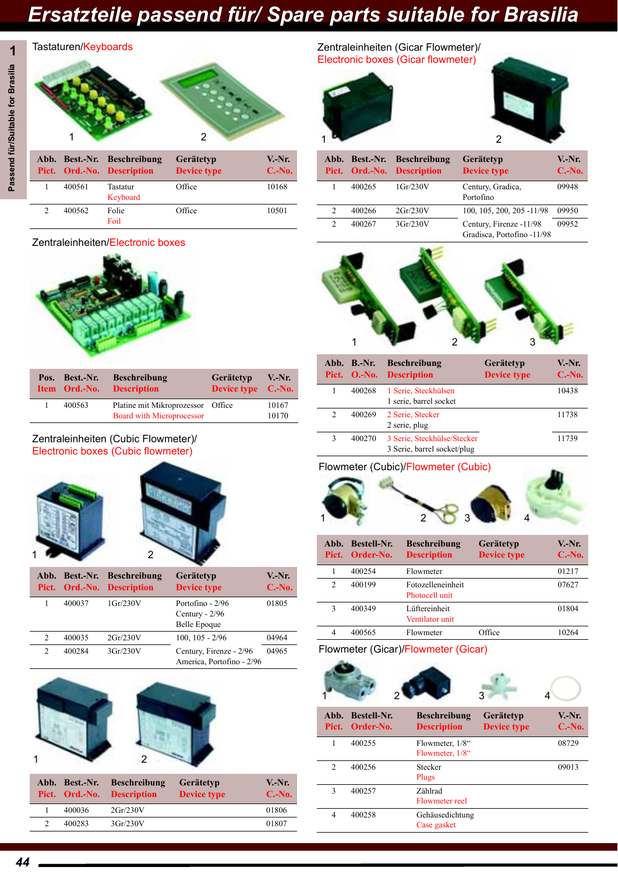## **1** Passend für/Suitable for Brasilia **Passend für/Suitable for Brasilia**

### 1 2 1 2 Tastaturen/Keyboards **Abb. Best.-Nr. Beschreibung Pict. Ord.-No. Description Gerätetyp Device type V.-Nr. C.-No.**

|  |        | Pict. Org.-No. Description | <b>Device type</b> | <b>C.-180.</b> |
|--|--------|----------------------------|--------------------|----------------|
|  | 400561 | Tastatur<br>Keyboard       | Office             | 10168          |
|  | 400562 | Folie<br>Foil              | Office             | 10501          |

### Zentraleinheiten/Electronic boxes



| Pos. | Best.-Nr.<br>Item Ord.-No. | <b>Beschreibung</b><br><b>Description</b>                             | Gerätetyp<br>Device type C.-No. | $V.-Nr.$       |
|------|----------------------------|-----------------------------------------------------------------------|---------------------------------|----------------|
|      | 400563                     | Platine mit Mikroprozessor Office<br><b>Board with Microprocessor</b> |                                 | 10167<br>10170 |

### Zentraleinheiten (Cubic Flowmeter)/ Electronic boxes (Cubic flowmeter)





|                |        | Abb. Best.-Nr. Beschreibung<br>Pict. Ord.-No. Description | Gerätetyp<br><b>Device type</b>                             | $V-Nr.$<br>$C.-No.$ |
|----------------|--------|-----------------------------------------------------------|-------------------------------------------------------------|---------------------|
|                | 400037 | $1$ Gr/230V                                               | Portofino - 2/96<br>Century - $2/96$<br><b>Belle Epoque</b> | 01805               |
| $\overline{c}$ | 400035 | 2Gr/230V                                                  | $100, 105 - 2/96$                                           | 04964               |
| $\mathfrak{D}$ | 400284 | 3Gr/230V                                                  | Century, Firenze - 2/96<br>America, Portofino - 2/96        | 04965               |



|  | Abb. Best.-Nr. | <b>Beschreibung</b><br>Pict. Ord.-No. Description | Gerätetyp<br>Device type | $V-Nr.$<br>$C.-No.$ |
|--|----------------|---------------------------------------------------|--------------------------|---------------------|
|  | 400036         | 2Gr/230V                                          |                          | 01806               |
|  | 400283         | 3 <sub>Gr</sub> /230V                             |                          | 01807               |
|  |                |                                                   |                          |                     |

Zentraleinheiten (Gicar Flowmeter)/ Electronic boxes (Gicar flowmeter)





|                | Abb. Best.-Nr. | <b>Beschreibung</b><br>Pict. Ord.-No. Description | <b>Gerätetyp</b><br><b>Device type</b>                | V.-Nr.<br>$C.-No.$ |
|----------------|----------------|---------------------------------------------------|-------------------------------------------------------|--------------------|
|                | 400265         | $1$ Gr $/230$ V                                   | Century, Gradica,<br>Portofino                        | 09948              |
| 2              | 400266         | 2Gr/230V                                          | 100, 105, 200, 205 -11/98                             | 09950              |
| $\mathfrak{D}$ | 400267         | 3 <sub>Gr</sub> /230V                             | Century, Firenze -11/98<br>Gradisca, Portofino -11/98 | 09952              |



|               | Abb. B.-Nr.<br>Pict. O.-No. | <b>Beschreibung</b><br><b>Description</b> | Gerätetyp<br><b>Device type</b> | V.-Nr.<br>$C.-No.$ |
|---------------|-----------------------------|-------------------------------------------|---------------------------------|--------------------|
|               | 400268                      | 1 Serie, Steckhülsen                      |                                 | 10438              |
|               |                             | 1 serie, barrel socket                    |                                 |                    |
| $\mathcal{D}$ | 400269                      | 2 Serie, Stecker                          |                                 | 11738              |
|               |                             | 2 serie, plug                             |                                 |                    |
|               | 400270                      | 3 Serie, Steckhülse/Stecker               |                                 | 11739              |
|               |                             | 3 Serie, barrel socket/plug               |                                 |                    |

### Flowmeter (Cubic)/Flowmeter (Cubic)



| Abb.<br>Pict.  | <b>Bestell-Nr.</b><br>Order-No. | <b>Beschreibung</b><br><b>Description</b> | Gerätetyp<br><b>Device type</b> | V.-Nr.<br>$C.-No.$ |
|----------------|---------------------------------|-------------------------------------------|---------------------------------|--------------------|
|                | 400254                          | Flowmeter                                 |                                 | 01217              |
| $\overline{c}$ | 400199                          | Fotozelleneinheit<br>Photocell unit       |                                 | 07627              |
| 3              | 400349                          | Lüftereinheit<br>Ventilator unit          |                                 | 01804              |
| 4              | 400565                          | Flowmeter                                 | Office                          | 10264              |

### Flowmeter (Gicar)/Flowmeter (Gicar)



|                | Abb. Bestell-Nr.<br>Pict. Order-No. | <b>Beschreibung</b><br><b>Description</b> | Gerätetyp<br><b>Device type</b> | $V-Nr.$<br>$C.-No.$ |
|----------------|-------------------------------------|-------------------------------------------|---------------------------------|---------------------|
| 1              | 400255                              | Flowmeter, 1/8"<br>Flowmeter, 1/8"        |                                 | 08729               |
| $\mathfrak{D}$ | 400256                              | Stecker<br>Plugs                          |                                 | 09013               |
| $\mathcal{E}$  | 400257                              | Zählrad<br>Flowmeter reel                 |                                 |                     |
| 4              | 400258                              | Gehäusedichtung<br>Case gasket            |                                 |                     |
|                |                                     |                                           |                                 |                     |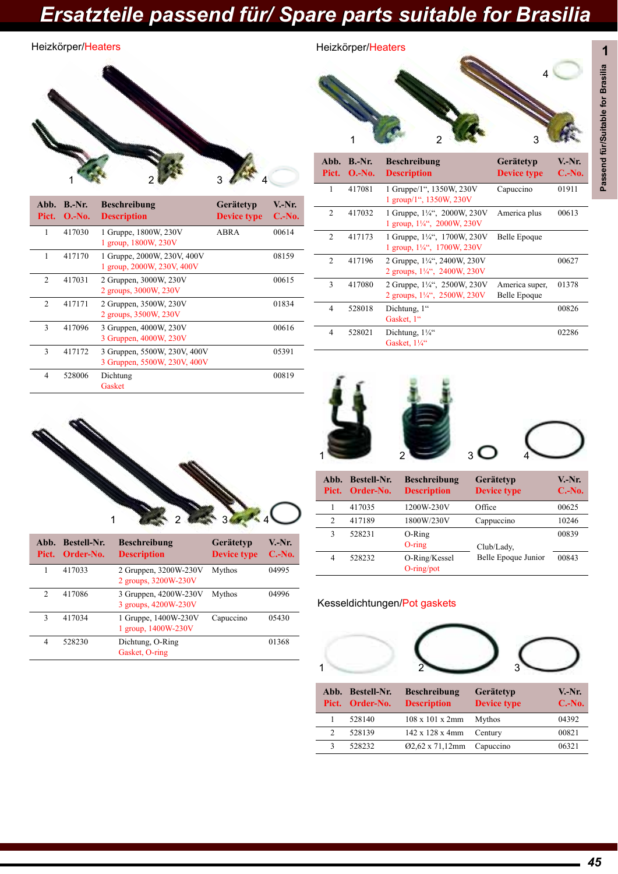Heizkörper/Heaters

### Heizkörper/Heaters



| Abb.<br>Pict.  | $B.-Nr.$<br>$O.-No.$ | <b>Beschreibung</b><br><b>Description</b>                    | Gerätetyp<br><b>Device type</b> | V.-Nr.<br>$C.-No.$ |
|----------------|----------------------|--------------------------------------------------------------|---------------------------------|--------------------|
| 1              | 417030               | 1 Gruppe, 1800W, 230V<br>1 group, 1800W, 230V                | <b>ABRA</b>                     | 00614              |
| 1              | 417170               | 1 Gruppe, 2000W, 230V, 400V<br>1 group, 2000W, 230V, 400V    |                                 | 08159              |
| $\mathfrak{D}$ | 417031               | 2 Gruppen, 3000W, 230V<br>2 groups, 3000W, 230V              |                                 | 00615              |
| $\mathfrak{D}$ | 417171               | 2 Gruppen, 3500W, 230V<br>2 groups, 3500W, 230V              |                                 | 01834              |
| 3              | 417096               | 3 Gruppen, 4000W, 230V<br>3 Gruppen, 4000W, 230V             |                                 | 00616              |
| $\mathcal{E}$  | 417172               | 3 Gruppen, 5500W, 230V, 400V<br>3 Gruppen, 5500W, 230V, 400V |                                 | 05391              |
| 4              | 528006               | Dichtung<br>Gasket                                           |                                 | 00819              |

| Abb.<br>Pict.  | $B.-Nr.$<br>$O.-No.$ | <b>Beschreibung</b><br><b>Description</b>                            | Gerätetyp<br><b>Device type</b> | V.-Nr.<br>$C.-No.$ |
|----------------|----------------------|----------------------------------------------------------------------|---------------------------------|--------------------|
| 1              | 417081               | 1 Gruppe/1", 1350W, 230V<br>1 group/1", 1350W, 230V                  | Capuccino                       | 01911              |
| $\overline{2}$ | 417032               | 1 Gruppe, 1¼", 2000W, 230V<br>1 group, 1¼", 2000W, 230V              | America plus                    | 00613              |
| $\overline{2}$ | 417173               | 1 Gruppe, 1¼", 1700W, 230V<br>1 group, $1\frac{1}{4}$ , 1700W, 230V  | Belle Epoque                    |                    |
| $\overline{2}$ | 417196               | 2 Gruppe, 1¼", 2400W, 230V<br>2 groups, $1\frac{1}{4}$ , 2400W, 230V |                                 | 00627              |
| 3              | 417080               | 2 Gruppe, 1¼", 2500W, 230V<br>2 groups, $1\frac{1}{4}$ , 2500W, 230V | America super,<br>Belle Epoque  | 01378              |
| $\overline{4}$ | 528018               | Dichtung, 1"<br>Gasket, 1"                                           |                                 | 00826              |
| 4              | 528021               | Dichtung, 11/4"<br>Gasket, 11/4"                                     |                                 | 02286              |



| Abb.<br>Pict. | <b>Bestell-Nr.</b><br>Order-No. | <b>Beschreibung</b><br><b>Description</b>     | Gerätetyp<br><b>Device type</b> | V.-Nr.<br>$C.-No.$ |
|---------------|---------------------------------|-----------------------------------------------|---------------------------------|--------------------|
|               | 417033                          | 2 Gruppen, 3200W-230V<br>2 groups, 3200W-230V | Mythos                          | 04995              |
| $\mathcal{D}$ | 417086                          | 3 Gruppen, 4200W-230V<br>3 groups, 4200W-230V | Mythos                          | 04996              |
| 3             | 417034                          | 1 Gruppe, 1400W-230V<br>1 group, 1400W-230V   | Capuccino                       | 05430              |
| 4             | 528230                          | Dichtung, O-Ring<br>Gasket, O-ring            |                                 | 01368              |



| Abb.<br>Pict.  | <b>Bestell-Nr.</b><br>Order-No. | <b>Beschreibung</b><br><b>Description</b> | Gerätetyp<br><b>Device type</b> | V.-Nr.<br>$C.-No.$ |
|----------------|---------------------------------|-------------------------------------------|---------------------------------|--------------------|
|                | 417035                          | 1200W-230V                                | Office                          | 00625              |
| $\overline{c}$ | 417189                          | 1800W/230V                                | Cappuccino                      | 10246              |
| 3              | 528231                          | O-Ring<br>$O$ -ring                       | Club/Lady,                      | 00839              |
| 4              | 528232                          | O-Ring/Kessel<br>$O$ -ring/pot            | Belle Epoque Junior             | 00843              |

### Kesseldichtungen/Pot gaskets



|                | Abb. Bestell-Nr.<br>Pict. Order-No. | <b>Beschreibung</b><br><b>Description</b> | Gerätetyp<br><b>Device type</b> | $V.-Nr.$<br>$C.-No.$ |
|----------------|-------------------------------------|-------------------------------------------|---------------------------------|----------------------|
|                | 528140                              | $108 \times 101 \times 2 \text{mm}$       | Mythos                          | 04392                |
| $\mathfrak{D}$ | 528139                              | $142 \times 128 \times 4 \text{mm}$       | Century                         | 00821                |
| 3              | 528232                              | 02,62 x 71,12mm                           | Capuccino                       | 06321                |

4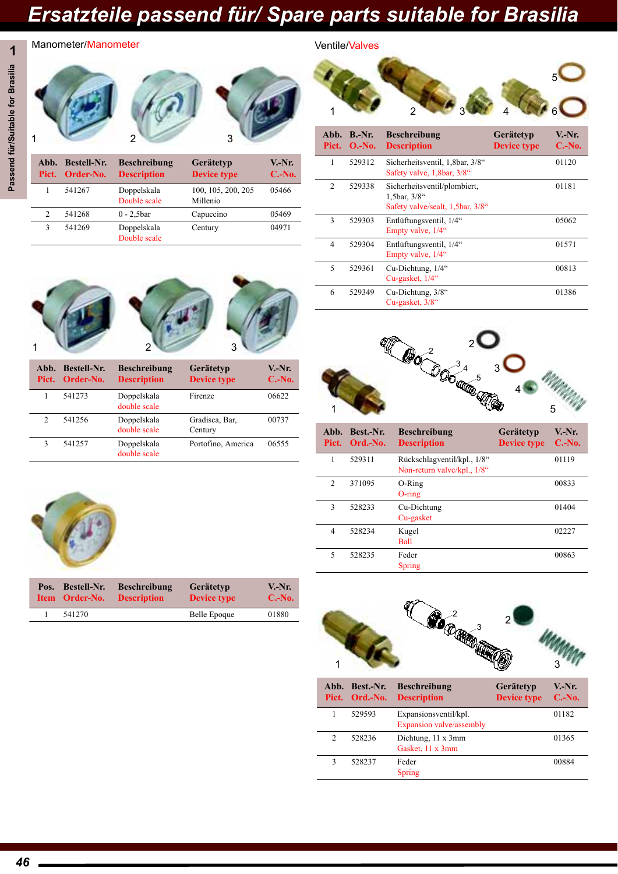Ventile/Valves

## **1** Passend für/Suitable for Brasilia **Passend für/Suitable for Brasilia**

2 3

| Abb.<br>Pict.  | <b>Bestell-Nr.</b><br>Order-No. | <b>Beschreibung</b><br><b>Description</b> | Gerätetyp<br><b>Device type</b> | $V-Nr.$<br>$C.-No.$ |
|----------------|---------------------------------|-------------------------------------------|---------------------------------|---------------------|
|                | 541267                          | Doppelskala<br>Double scale               | 100, 105, 200, 205<br>Millenio  | 05466               |
| $\overline{c}$ | 541268                          | $0 - 2,5$ bar                             | Capuccino                       | 05469               |
| 3              | 541269                          | Doppelskala<br>Double scale               | Century                         | 04971               |
|                |                                 |                                           |                                 |                     |

| Abb.           | $B.-Nr.$<br>Pict. $O.-No.$ | <b>Beschreibung</b><br><b>Description</b>                                           | Gerätetyp<br><b>Device type</b> | $V-Nr.$<br>$C.-No.$ |
|----------------|----------------------------|-------------------------------------------------------------------------------------|---------------------------------|---------------------|
| 1              | 529312                     | Sicherheitsventil, 1,8bar, 3/8"<br>Safety valve, 1,8bar, 3/8"                       |                                 | 01120               |
| $\overline{2}$ | 529338                     | Sicherheitsventil/plombiert,<br>1,5bar, $3/8$ "<br>Safety valve/sealt, 1,5bar, 3/8" |                                 | 01181               |
| 3              | 529303                     | Entlüftungsventil, 1/4"<br>Empty valve, 1/4"                                        |                                 | 05062               |
| 4              | 529304                     | Entlüftungsventil, 1/4"<br>Empty valve, 1/4"                                        |                                 | 01571               |
| 5              | 529361                     | Cu-Dichtung, 1/4"<br>Cu-gasket, 1/4"                                                |                                 | 00813               |
| 6              | 529349                     | Cu-Dichtung, 3/8"<br>Cu-gasket, 3/8"                                                |                                 | 01386               |

1 2334 4 6

 $5<sub>o</sub>$ 



Manometer/Manometer



| Pict.         | Abb. Bestell-Nr.<br>Order-No. | <b>Beschreibung</b><br><b>Description</b> | Gerätetyp<br><b>Device type</b> | V.-Nr.<br>$C.-No.$ |
|---------------|-------------------------------|-------------------------------------------|---------------------------------|--------------------|
|               | 541273                        | Doppelskala<br>double scale               | Firenze                         | 06622              |
| $\mathcal{D}$ | 541256                        | Doppelskala<br>double scale               | Gradisca, Bar,<br>Century       | 00737              |
| 3             | 541257                        | Doppelskala<br>double scale               | Portofino, America              | 06555              |



| Abb.<br>Pict.            | Best.-Nr.<br>Ord.-No. | <b>Beschreibung</b><br><b>Description</b>                  | Gerätetyp<br><b>Device type</b> | V.-Nr.<br>$C.-No.$ |
|--------------------------|-----------------------|------------------------------------------------------------|---------------------------------|--------------------|
| 1                        | 529311                | Rückschlagventil/kpl., 1/8"<br>Non-return valve/kpl., 1/8" |                                 | 01119              |
| $\mathfrak{D}$           | 371095                | $O-Ring$<br>$O$ -ring                                      |                                 | 00833              |
| $\mathcal{E}$            | 528233                | Cu-Dichtung<br>Cu-gasket                                   |                                 | 01404              |
| 4                        | 528234                | Kugel<br>Ball                                              |                                 | 02227              |
| $\overline{\phantom{0}}$ | 528235                | Feder<br><b>Spring</b>                                     |                                 | 00863              |



|                | Abb. Best.-Nr.<br>Pict. Ord.-No. | <b>Beschreibung</b><br><b>Description</b>         | Gerätetyp<br><b>Device type</b> | $V-Nr.$<br>$C.-No.$ |
|----------------|----------------------------------|---------------------------------------------------|---------------------------------|---------------------|
|                | 529593                           | Expansionsventil/kpl.<br>Expansion valve/assembly |                                 | 01182               |
| $\mathfrak{D}$ | 528236                           | Dichtung, 11 x 3mm<br>Gasket, 11 x 3mm            |                                 | 01365               |
| 3              | 528237                           | Feder<br>Spring                                   |                                 | 00884               |



| Pos. | <b>Bestell-Nr.</b> | <b>Beschreibung</b> | Gerätetyp          | $V.-Nr.$ |
|------|--------------------|---------------------|--------------------|----------|
|      | Item Order-No.     | <b>Description</b>  | <b>Device type</b> | $C.-No.$ |
|      | 541270             |                     | Belle Epoque       | 01880    |

1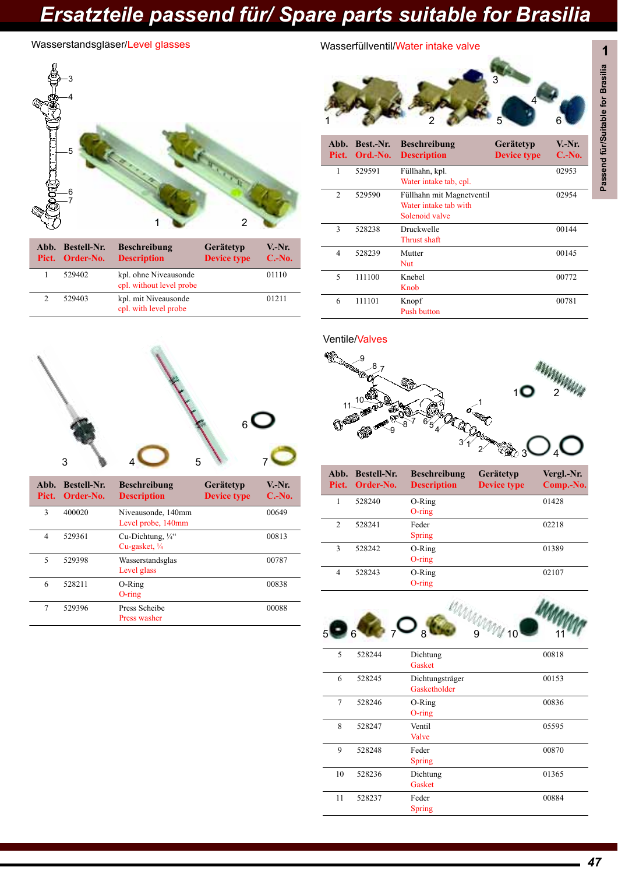### Wasserstandsgläser/Level glasses



|  | Abb. Bestell-Nr.<br>Pict. Order-No. | <b>Beschreibung</b><br><b>Description</b>         | Gerätetyp<br><b>Device type</b> | $V-Nr.$<br>$C.-No.$ |
|--|-------------------------------------|---------------------------------------------------|---------------------------------|---------------------|
|  | 529402                              | kpl. ohne Niveausonde<br>cpl. without level probe |                                 | 01110               |
|  | 529403                              | kpl. mit Niveausonde<br>cpl. with level probe     |                                 | 01211               |



| Abb.<br>Pict. | <b>Bestell-Nr.</b><br>Order-No. | <b>Beschreibung</b><br><b>Description</b>                | Gerätetyp<br><b>Device type</b> | $V-Nr.$<br>$C.-No.$ |
|---------------|---------------------------------|----------------------------------------------------------|---------------------------------|---------------------|
| 3             | 400020                          | Niveausonde, 140mm<br>Level probe, 140mm                 |                                 | 00649               |
| 4             | 529361                          | Cu-Dichtung, $\frac{1}{4}$ "<br>Cu-gasket, $\frac{1}{4}$ |                                 | 00813               |
| 5             | 529398                          | Wasserstandsglas<br>Level glass                          |                                 | 00787               |
| 6             | 528211                          | O-Ring<br>$O$ -ring                                      |                                 | 00838               |
| 7             | 529396                          | Press Scheibe<br>Press washer                            |                                 | 00088               |

### Wasserfüllventil/Water intake valve



| Abb.<br>Pict.  | Best.-Nr.<br>Ord.-No. | <b>Beschreibung</b><br><b>Description</b>                            | Gerätetyp<br><b>Device type</b> | $V.-Nr.$<br>$C.-No.$ |
|----------------|-----------------------|----------------------------------------------------------------------|---------------------------------|----------------------|
| 1              | 529591                | Füllhahn, kpl.<br>Water intake tab, cpl.                             |                                 | 02953                |
| $\overline{2}$ | 529590                | Füllhahn mit Magnetventil<br>Water intake tab with<br>Solenoid valve |                                 | 02954                |
| 3              | 528238                | Druckwelle<br>Thrust shaft                                           |                                 | 00144                |
| 4              | 528239                | Mutter<br>Nut                                                        |                                 | 00145                |
| 5              | 111100                | Knebel<br>Knob                                                       |                                 | 00772                |
| 6              | 111101                | Knopf<br><b>Push button</b>                                          |                                 | 00781                |

Ventile/Valves



| Abb.<br>Pict.  | <b>Bestell-Nr.</b><br>Order-No. | <b>Beschreibung</b><br><b>Description</b> | Gerätetyp<br><b>Device type</b> | Vergl.-Nr.<br>Comp.-No. |
|----------------|---------------------------------|-------------------------------------------|---------------------------------|-------------------------|
| 1              | 528240                          | O-Ring<br>$O$ -ring                       |                                 | 01428                   |
| $\overline{c}$ | 528241                          | Feder<br>Spring                           |                                 | 02218                   |
| 3              | 528242                          | O-Ring<br>$O$ -ring                       |                                 | 01389                   |
| 4              | 528243                          | $O-Ring$<br>$O$ -ring                     |                                 | 02107                   |



| 5  | 528244 | Dichtung<br>Gasket              | 00818 |
|----|--------|---------------------------------|-------|
| 6  | 528245 | Dichtungsträger<br>Gasketholder | 00153 |
| 7  | 528246 | O-Ring<br>$O$ -ring             | 00836 |
| 8  | 528247 | Ventil<br>Valve                 | 05595 |
| 9  | 528248 | Feder<br>Spring                 | 00870 |
| 10 | 528236 | Dichtung<br>Gasket              | 01365 |
| 11 | 528237 | Feder<br>Spring                 | 00884 |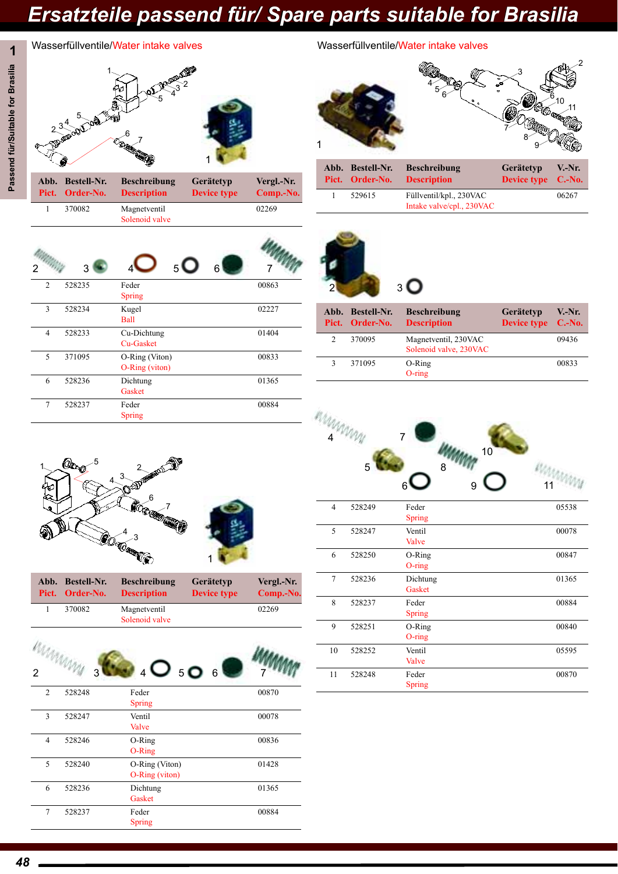**Vergl.-Nr. Comp.-No.**

02269

# Passend für/Suitable for Brasilia **Passend für/Suitable for Brasilia**

 $2^{3^{4}}$ 

**Abb. Pict.**

**Pool** 

**Bestell-Nr. Order-No.**

1 370082 Magnetventil

**6** 7

|                                                      | Wasserfüllventile/Water intake valves | Wasserfüllventile/Water intake valves |
|------------------------------------------------------|---------------------------------------|---------------------------------------|
| $\overline{a}$<br>$\bar{\bar{\mathbf{v}}}$<br>ᢐ<br>ā |                                       |                                       |

**Beschreibung Description**

Solenoid valve



|              | Abb. Bestell-Nr.<br>Pict. Order-No. | <b>Beschreibung</b><br><b>Description</b>            | <b>Gerätetyp</b><br>Device type C.-No. | <b>V.-Nr.</b> |
|--------------|-------------------------------------|------------------------------------------------------|----------------------------------------|---------------|
| $\mathbf{1}$ | 529615                              | Füllventil/kpl., 230VAC<br>Intake valve/cpl., 230VAC |                                        | 06267         |



1

**Gerätetyp Device type**



|                | Abb. Bestell-Nr.<br>Pict. Order-No. | <b>Beschreibung</b><br><b>Description</b>      | Gerätetyp<br>Device type C.-No. | $V.-Nr.$ |
|----------------|-------------------------------------|------------------------------------------------|---------------------------------|----------|
| $\mathfrak{D}$ | 370095                              | Magnetventil, 230VAC<br>Solenoid valve, 230VAC |                                 | 09436    |
| 3              | 371095                              | O-Ring<br>$O$ -ring                            |                                 | 00833    |



| 4  | 528249 | Feder<br>Spring        | 05538 |
|----|--------|------------------------|-------|
| 5  | 528247 | Ventil<br>Valve        | 00078 |
| 6  | 528250 | O-Ring<br>$O$ -ring    | 00847 |
| 7  | 528236 | Dichtung<br>Gasket     | 01365 |
| 8  | 528237 | Feder<br><b>Spring</b> | 00884 |
| 9  | 528251 | O-Ring<br>$O$ -ring    | 00840 |
| 10 | 528252 | Ventil<br>Valve        | 05595 |
| 11 | 528248 | Feder<br>Spring        | 00870 |



|  | Abb. Bestell-Nr.<br>Pict. Order-No. | <b>Beschreibung</b><br><b>Description</b> | Gerätetyp<br><b>Device type</b> | Vergl.-Nr.<br>Comp.-No. |
|--|-------------------------------------|-------------------------------------------|---------------------------------|-------------------------|
|  | 370082                              | Magnetyentil<br>Solenoid valve            |                                 | 02269                   |



| $\overline{2}$ | 528248 | Feder<br><b>Spring</b>           | 00870 |
|----------------|--------|----------------------------------|-------|
| 3              | 528247 | Ventil<br>Valve                  | 00078 |
| 4              | 528246 | O-Ring<br>$O-Ring$               | 00836 |
| 5              | 528240 | O-Ring (Viton)<br>O-Ring (viton) | 01428 |
| 6              | 528236 | Dichtung<br>Gasket               | 01365 |
| 7              | 528237 | Feder<br>Spring                  | 00884 |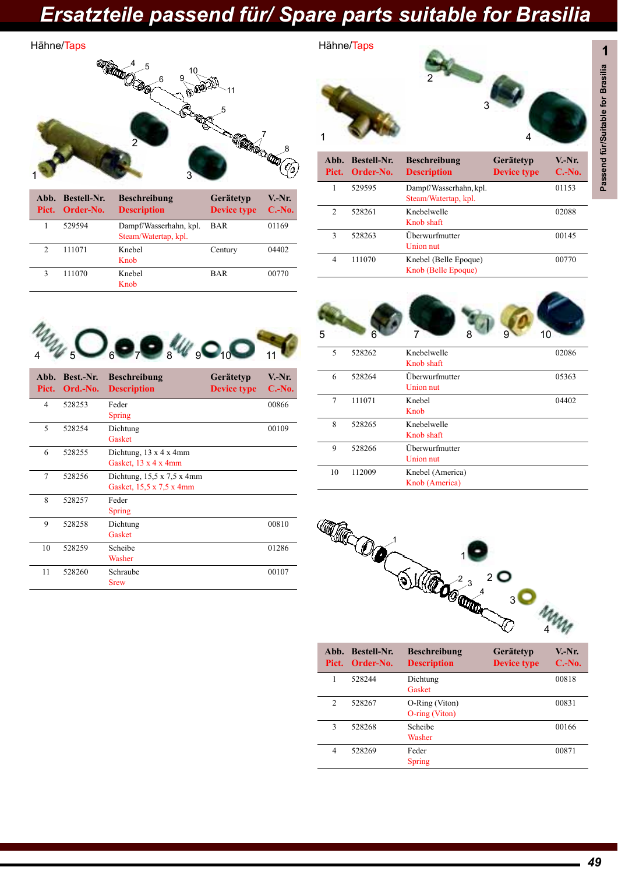Hähne/Taps

#### **1** Hähne/Taps 1 2 3 **4000** 5 8 7 9  $5 \overline{10}$ 6 11

| Pict. | Abb. Bestell-Nr.<br>Order-No. | <b>Beschreibung</b><br><b>Description</b>      | Gerätetyp<br><b>Device type</b> | $V.-Nr.$<br>$C.-No.$ |
|-------|-------------------------------|------------------------------------------------|---------------------------------|----------------------|
|       | 529594                        | Dampf/Wasserhahn, kpl.<br>Steam/Watertap, kpl. | <b>BAR</b>                      | 01169                |
| 2     | 111071                        | Knebel<br>Knob                                 | Century                         | 04402                |
| 3     | 111070                        | Knebel<br>Knob                                 | <b>BAR</b>                      | 00770                |





| Abb.<br>Pict.  | Best.-Nr.<br>Ord.-No. | <b>Beschreibung</b><br><b>Description</b>                                | Gerätetyp<br><b>Device type</b> | V.-Nr.<br>$C.-No.$ |
|----------------|-----------------------|--------------------------------------------------------------------------|---------------------------------|--------------------|
| 4              | 528253                | Feder<br>Spring                                                          |                                 | 00866              |
| $\overline{5}$ | 528254                | Dichtung<br>Gasket                                                       |                                 | 00109              |
| 6              | 528255                | Dichtung, $13 \times 4 \times 4$ mm<br>Gasket, $13 \times 4 \times 4$ mm |                                 |                    |
| 7              | 528256                | Dichtung, $15,5 \times 7,5 \times 4$ mm<br>Gasket, 15,5 x 7,5 x 4mm      |                                 |                    |
| 8              | 528257                | Feder<br>Spring                                                          |                                 |                    |
| 9              | 528258                | Dichtung<br>Gasket                                                       |                                 | 00810              |
| 10             | 528259                | Scheibe<br>Washer                                                        |                                 | 01286              |
| 11             | 528260                | Schraube<br><b>Srew</b>                                                  |                                 | 00107              |



Knob (Belle Epoque)

|    |        | Knob shaft                         |       |
|----|--------|------------------------------------|-------|
| 6  | 528264 | Überwurfmutter<br>Union nut        | 05363 |
| 7  | 111071 | Knebel<br>Knob                     | 04402 |
| 8  | 528265 | Knebelwelle<br>Knob shaft          |       |
| 9  | 528266 | Überwurfmutter<br>Union nut        |       |
| 10 | 112009 | Knebel (America)<br>Knob (America) |       |



| Abb.<br>Pict. | <b>Bestell-Nr.</b><br>Order-No. | <b>Beschreibung</b><br><b>Description</b> | Gerätetyp<br><b>Device type</b> | V.-Nr.<br>$C.-No.$ |
|---------------|---------------------------------|-------------------------------------------|---------------------------------|--------------------|
|               | 528244                          | Dichtung<br>Gasket                        |                                 | 00818              |
| 2             | 528267                          | O-Ring (Viton)<br>$O$ -ring (Viton)       |                                 | 00831              |
| 3             | 528268                          | Scheibe<br>Washer                         |                                 | 00166              |
| 4             | 528269                          | Feder<br>Spring                           |                                 | 00871              |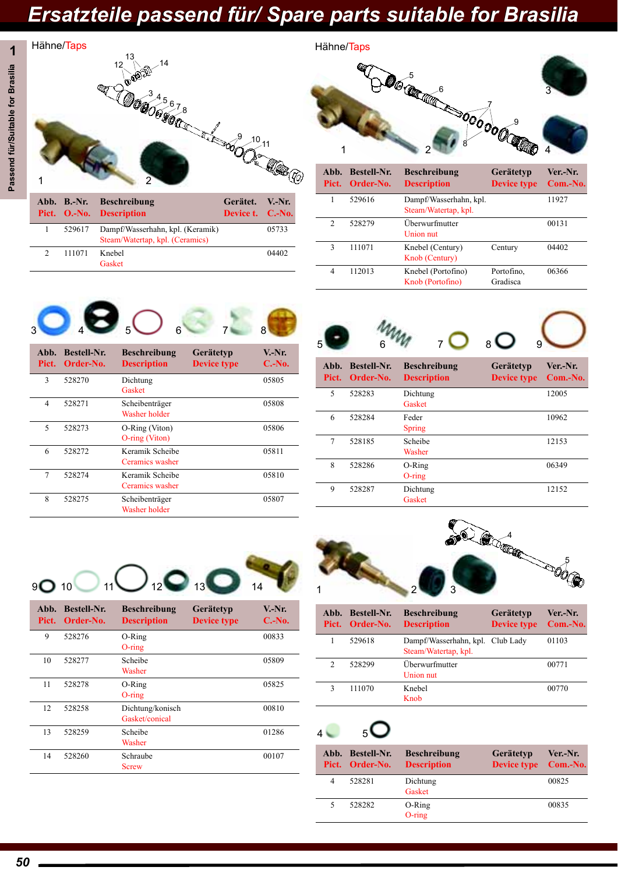04402



Hähne/Taps



| Abb.<br>Pict.  | <b>Bestell-Nr.</b><br>Order-No. | <b>Beschreibung</b><br><b>Description</b>      | Gerätetyp<br><b>Device type</b> | Ver.-Nr.<br>Com.-No. |
|----------------|---------------------------------|------------------------------------------------|---------------------------------|----------------------|
|                | 529616                          | Dampf/Wasserhahn, kpl.<br>Steam/Watertap, kpl. |                                 | 11927                |
| $\mathfrak{D}$ | 528279                          | Überwurfmutter<br>Union nut                    |                                 | 00131                |
| 3              | 111071                          | Knebel (Century)<br>Knob (Century)             | Century                         | 04402                |
| 4              | 112013                          | Knebel (Portofino)<br>Knob (Portofino)         | Portofino,<br>Gradisca          | 06366                |



2 111071 Knebel

Gasket

| A <sub>hh</sub><br>Pict. | <b>Bestell-Nr.</b><br>Order-No. | <b>Beschreibung</b><br><b>Description</b> | Gerätetyp<br><b>Device type</b> | V.-Nr.<br>$C.-No.$ |
|--------------------------|---------------------------------|-------------------------------------------|---------------------------------|--------------------|
| 3                        | 528270                          | Dichtung<br>Gasket                        |                                 | 05805              |
| 4                        | 528271                          | Scheibenträger<br>Washer holder           |                                 | 05808              |
| 5                        | 528273                          | O-Ring (Viton)<br>O-ring (Viton)          |                                 | 05806              |
| 6                        | 528272                          | Keramik Scheibe<br>Ceramics washer        |                                 | 05811              |
| 7                        | 528274                          | Keramik Scheibe<br>Ceramics washer        |                                 | 05810              |
| 8                        | 528275                          | Scheibenträger<br>Washer holder           |                                 | 05807              |



| . | $U1$ u $U1$ -110. | ремирион      | Device type | $\mathbf{v}$ |
|---|-------------------|---------------|-------------|--------------|
| 5 | 528283            | Dichtung      |             | 12005        |
|   |                   | Gasket        |             |              |
| 6 | 528284            | Feder         |             | 10962        |
|   |                   | <b>Spring</b> |             |              |
| 7 | 528185            | Scheibe       |             | 12153        |
|   |                   | Washer        |             |              |
| 8 | 528286            | O-Ring        |             | 06349        |
|   |                   | $O$ -ring     |             |              |
| 9 | 528287            | Dichtung      |             | 12152        |
|   |                   | Gasket        |             |              |
|   |                   |               |             |              |



| Abb.<br>Pict. | <b>Bestell-Nr.</b><br>Order-No. | <b>Beschreibung</b><br><b>Description</b> | Gerätetyp<br><b>Device type</b> | V.-Nr.<br>$C.-No.$ |
|---------------|---------------------------------|-------------------------------------------|---------------------------------|--------------------|
| 9             | 528276                          | O-Ring<br>$O$ -ring                       |                                 | 00833              |
| 10            | 528277                          | Scheibe<br>Washer                         |                                 | 05809              |
| 11            | 528278                          | $O-Ring$<br>$O$ -ring                     |                                 | 05825              |
| 12            | 528258                          | Dichtung/konisch<br>Gasket/conical        |                                 | 00810              |
| 13            | 528259                          | Scheibe<br>Washer                         |                                 | 01286              |
| 14            | 528260                          | Schraube<br>Screw                         |                                 | 00107              |



|               | Abb. Bestell-Nr.<br>Pict. Order-No. | <b>Beschreibung</b><br><b>Description</b>                | Gerätetyp<br><b>Device type</b> | Ver.-Nr.<br>Com.-No. |
|---------------|-------------------------------------|----------------------------------------------------------|---------------------------------|----------------------|
|               | 529618                              | Dampf/Wasserhahn, kpl. Club Lady<br>Steam/Watertap, kpl. |                                 | 01103                |
| $\mathcal{P}$ | 528299                              | Überwurfmutter<br>Union nut                              |                                 | 00771                |
|               | 111070                              | Knebel<br>Knob                                           |                                 | 00770                |

### $4$  5  $\bigcirc$

|   | Abb. Bestell-Nr.<br>Pict. Order-No. | <b>Beschreibung</b><br><b>Description</b> | Gerätetyp<br>Device type Com.-No. | Ver.-Nr. |
|---|-------------------------------------|-------------------------------------------|-----------------------------------|----------|
| 4 | 528281                              | Dichtung<br>Gasket                        |                                   | 00825    |
| 5 | 528282                              | O-Ring<br>$O$ -ring                       |                                   | 00835    |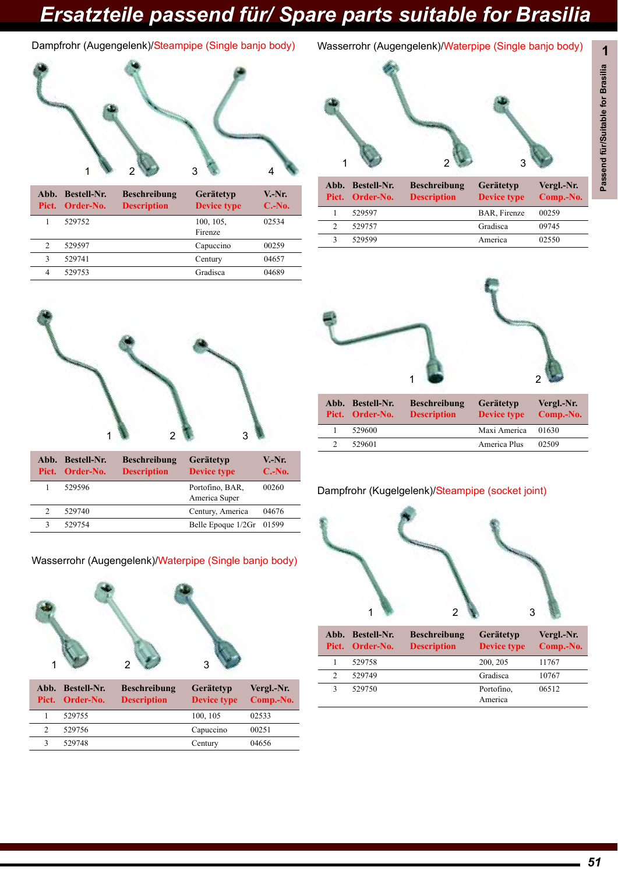### Dampfrohr (Augengelenk)/Steampipe (Single banjo body)



|   | Abb. Bestell-Nr.<br>Pict. Order-No. | <b>Beschreibung</b><br><b>Description</b> | Gerätetyp<br><b>Device type</b> | $V-Nr.$<br>$C.-No.$ |
|---|-------------------------------------|-------------------------------------------|---------------------------------|---------------------|
|   | 529752                              |                                           | 100, 105,<br>Firenze            | 02534               |
| 2 | 529597                              |                                           | Capuccino                       | 00259               |
| 3 | 529741                              |                                           | Century                         | 04657               |
| 4 | 529753                              |                                           | Gradisca                        | 04689               |



| Abb. Bestell-Nr.<br>Pict. Order-No. | <b>Beschreibung</b><br><b>Description</b> | Gerätetyp<br><b>Device type</b> | Vergl.-Nr.<br>Comp.-No. |
|-------------------------------------|-------------------------------------------|---------------------------------|-------------------------|
| 529597                              |                                           | BAR, Firenze                    | 00259                   |
| 529757                              |                                           | Gradisca                        | 09745                   |
| 529599                              |                                           | America                         | 02550                   |



|  | Abb. Bestell-Nr.<br>Pict. Order-No. | <b>Beschreibung</b><br><b>Description</b> | <b>Gerätetyp</b><br><b>Device type</b> | $V-Nr.$<br>$C.-No.$ |
|--|-------------------------------------|-------------------------------------------|----------------------------------------|---------------------|
|  | 529596                              |                                           | Portofino, BAR,<br>America Super       | 00260               |
|  | 529740                              |                                           | Century, America                       | 04676               |
|  | 529754                              |                                           | Belle Epoque 1/2Gr 01599               |                     |

### Wasserrohr (Augengelenk)/Waterpipe (Single banjo body)



| Abb. Bestell-Nr.<br>Pict. Order-No. | <b>Beschreibung</b><br><b>Description</b> | <b>Gerätetyp</b><br><b>Device type</b> | Vergl.-Nr.<br>Comp.-No. |
|-------------------------------------|-------------------------------------------|----------------------------------------|-------------------------|
| 529755                              |                                           | 100, 105                               | 02533                   |
| 529756                              |                                           | Capuccino                              | 00251                   |
| 529748                              |                                           | Century                                | 04656                   |



| Abb. Bestell-Nr.<br>Pict. Order-No. | <b>Beschreibung</b><br><b>Description</b> | Gerätetyp<br><b>Device type</b> | Vergl.-Nr.<br>Comp.-No. |
|-------------------------------------|-------------------------------------------|---------------------------------|-------------------------|
| 529600                              |                                           | Maxi America                    | 01630                   |
| 529601                              |                                           | America Plus                    | 02509                   |

#### Dampfrohr (Kugelgelenk)/Steampipe (socket joint)



|   | Abb. Bestell-Nr.<br>Pict. Order-No. | <b>Beschreibung</b><br><b>Description</b> | Gerätetyp<br><b>Device type</b> | Vergl.-Nr.<br>Comp.-No. |
|---|-------------------------------------|-------------------------------------------|---------------------------------|-------------------------|
|   | 529758                              |                                           | 200, 205                        | 11767                   |
| 2 | 529749                              |                                           | Gradisca                        | 10767                   |
|   | 529750                              |                                           | Portofino.<br>America           | 06512                   |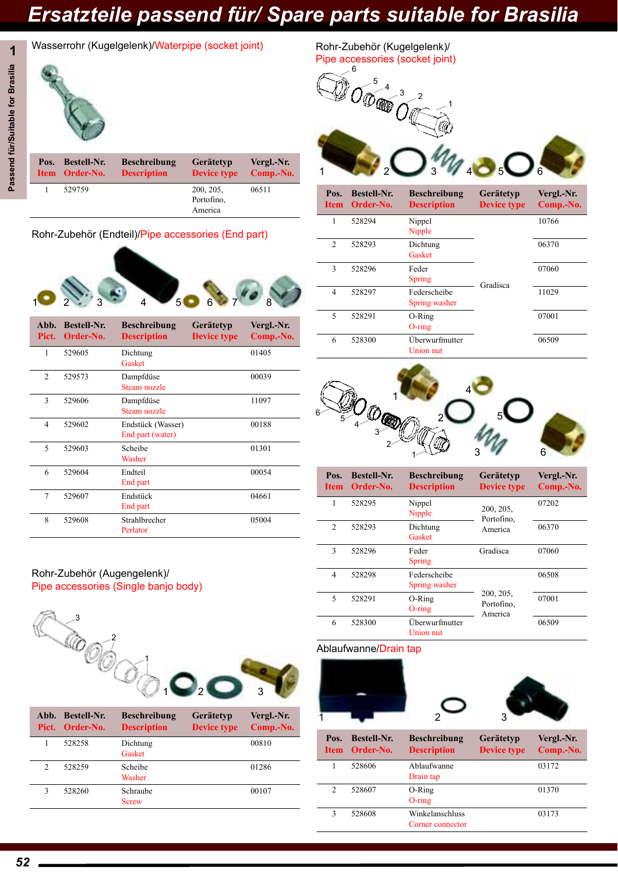

**1** Wasserrohr (Kugelgelenk)/Waterpipe (socket joint)



### Rohr-Zubehör (Endteil)/Pipe accessories (End part)



| Abb.<br>Pict.  | <b>Bestell-Nr.</b><br>Order-No. | <b>Beschreibung</b><br><b>Description</b> | Gerätetyp<br><b>Device type</b> | Vergl.-Nr.<br>Comp.-No. |
|----------------|---------------------------------|-------------------------------------------|---------------------------------|-------------------------|
| 1              | 529605                          | Dichtung<br>Gasket                        |                                 | 01405                   |
| $\mathfrak{D}$ | 529573                          | Dampfdüse<br>Steam nozzle                 |                                 | 00039                   |
| 3              | 529606                          | Dampfdüse<br>Steam nozzle                 |                                 | 11097                   |
| 4              | 529602                          | Endstück (Wasser)<br>End part (water)     |                                 | 00188                   |
| 5              | 529603                          | Scheibe<br>Washer                         |                                 | 01301                   |
| 6              | 529604                          | Endteil<br>End part                       |                                 | 00054                   |
| 7              | 529607                          | Endstück<br>End part                      |                                 | 04661                   |
| 8              | 529608                          | Strahlbrecher<br>Perlator                 |                                 | 05004                   |

#### Rohr-Zubehör (Augengelenk)/ Pipe accessories (Single banjo body)



|               | Abb. Bestell-Nr.<br>Pict. Order-No. | <b>Beschreibung</b><br><b>Description</b> | Gerätetyp<br><b>Device type</b> | Vergl.-Nr.<br>Comp.-No. |
|---------------|-------------------------------------|-------------------------------------------|---------------------------------|-------------------------|
|               | 528258                              | Dichtung<br>Gasket                        |                                 | 00810                   |
| $\mathcal{P}$ | 528259                              | Scheibe<br>Washer                         |                                 | 01286                   |
| 3             | 528260                              | Schraube<br><b>Screw</b>                  |                                 | 00107                   |

Rohr-Zubehör (Kugelgelenk)/ Pipe accessories (socket joint)





| Pos.<br><b>Item</b> | <b>Bestell-Nr.</b><br>Order-No. | <b>Beschreibung</b><br><b>Description</b> | Gerätetyp<br><b>Device type</b> | Vergl.-Nr.<br>Comp.-No. |
|---------------------|---------------------------------|-------------------------------------------|---------------------------------|-------------------------|
| 1                   | 528294                          | Nippel<br>Nipple                          |                                 | 10766                   |
| 2                   | 528293                          | Dichtung<br>Gasket                        |                                 | 06370                   |
| 3                   | 528296                          | Feder<br>Spring                           |                                 | 07060                   |
| 4                   | 528297                          | Federscheibe<br>Spring washer             | Gradisca                        |                         |
| 5                   | 528291                          | O-Ring<br>$O$ -ring                       |                                 | 07001                   |
| 6                   | 528300                          | Überwurfmutter<br>Union nut               |                                 | 06509                   |



| Pos.<br><b>Item</b> | <b>Bestell-Nr.</b><br>Order-No. | <b>Beschreibung</b><br><b>Description</b> | Gerätetyp<br><b>Device type</b>    | Vergl.-Nr.<br>Comp.-No. |
|---------------------|---------------------------------|-------------------------------------------|------------------------------------|-------------------------|
| 1                   | 528295                          | Nippel<br>Nipple                          | 200, 205,<br>Portofino.            | 07202                   |
| $\overline{2}$      | 528293                          | Dichtung<br>Gasket                        | America                            | 06370                   |
| 3                   | 528296                          | Gradisca<br>Feder<br>Spring               |                                    | 07060                   |
| 4                   | 528298                          | Federscheibe<br>Spring washer             |                                    | 06508                   |
| 5                   | 528291                          | O-Ring<br>$O$ -ring                       | 200, 205,<br>Portofino.<br>America | 07001                   |
| 6                   | 528300                          | Überwurfmutter<br>Union nut               |                                    | 06509                   |

#### Ablaufwanne/Drain tap





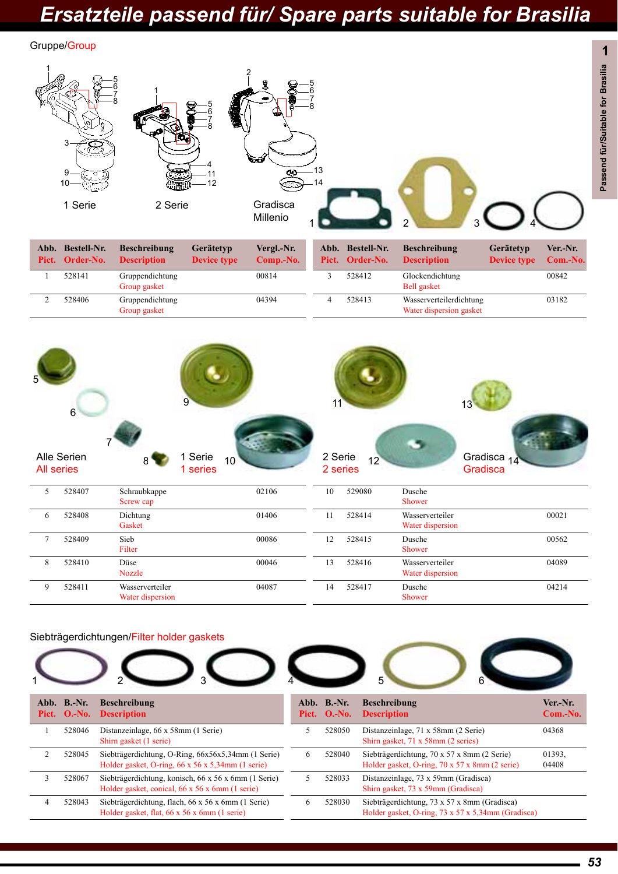

| 6 | 528408 | Dichtung<br>Gasket                  | 01406 | 11 | 528414 | Wasserverteiler<br>Water dispersion | 00021 |
|---|--------|-------------------------------------|-------|----|--------|-------------------------------------|-------|
|   | 528409 | Sieb<br>Filter                      | 00086 | 12 | 528415 | Dusche<br>Shower                    | 00562 |
|   | 528410 | Düse<br><b>Nozzle</b>               | 00046 | 13 | 528416 | Wasserverteiler<br>Water dispersion | 04089 |
| Q | 528411 | Wasserverteiler<br>Water dispersion | 04087 | 14 | 528417 | Dusche<br>Shower                    | 04214 |

#### Siebträgerdichtungen/Filter holder gaskets



| Pict.                       | Abb. B.-Nr.<br>$O.-No.$ | <b>Beschreibung</b><br><b>Description</b>                                                                            |
|-----------------------------|-------------------------|----------------------------------------------------------------------------------------------------------------------|
|                             | 528046                  | Distanzeinlage, 66 x 58mm (1 Serie)<br>Shirn gasket (1 serie)                                                        |
| $\mathcal{D}_{\mathcal{L}}$ | 528045                  | Siebträgerdichtung, O-Ring, 66x56x5,34mm (1 Serie)<br>Holder gasket, O-ring, $66 \times 56 \times 5,34$ mm (1 serie) |
| 3                           | 528067                  | Siebträgerdichtung, konisch, 66 x 56 x 6mm (1 Serie)<br>Holder gasket, conical, 66 x 56 x 6mm (1 serie)              |
| 4                           | 528043                  | Siebträgerdichtung, flach, 66 x 56 x 6mm (1 Serie)<br>Holder gasket, flat, 66 x 56 x 6mm (1 serie)                   |



| Abb.<br>Pict. | $B.-Nr.$<br>$O.-No.$ | <b>Beschreibung</b><br><b>Description</b>                                                          | Ver.-Nr.<br>$Com.-No.$ |
|---------------|----------------------|----------------------------------------------------------------------------------------------------|------------------------|
| 5             | 528050               | Distanzeinlage, 71 x 58mm (2 Serie)<br>Shirn gasket, 71 x 58mm (2 series)                          | 04368                  |
| 6             | 528040               | Siebträgerdichtung, 70 x 57 x 8mm (2 Serie)<br>Holder gasket, O-ring, 70 x 57 x 8mm (2 serie)      | 01393.<br>04408        |
| 5             | 528033               | Distanzeinlage, 73 x 59mm (Gradisca)<br>Shirn gasket, 73 x 59mm (Gradisca)                         |                        |
| 6             | 528030               | Siebträgerdichtung, 73 x 57 x 8mm (Gradisca)<br>Holder gasket, O-ring, 73 x 57 x 5,34mm (Gradisca) |                        |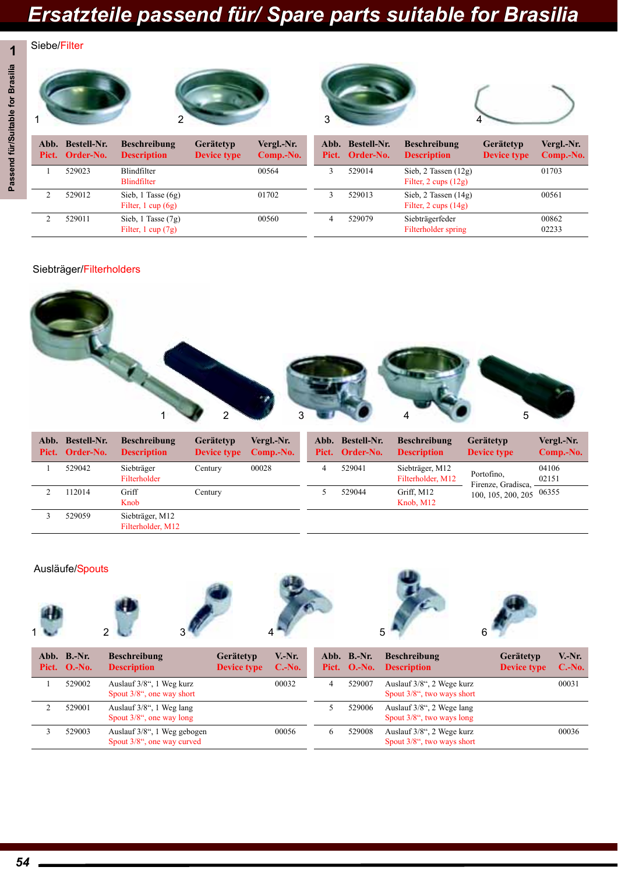### **1** Siebe/Filter



### Siebträger/Filterholders



| Abb. | Bestell-Nr.<br>Pict. Order-No. | <b>Beschreibung</b><br><b>Description</b> | Gerätetyp<br><b>Device type</b> | Vergl.-Nr.<br>Comp.-No. |   | Abb. Bestell-Nr.<br>Pict. Order-No. | <b>Beschreibung</b><br><b>Description</b> | Gerätetyp<br><b>Device type</b>  | Vergl.-Nr.<br>Comp.-No. |
|------|--------------------------------|-------------------------------------------|---------------------------------|-------------------------|---|-------------------------------------|-------------------------------------------|----------------------------------|-------------------------|
|      | 529042                         | Siebträger<br>Filterholder                | Centurv                         | 00028                   | 4 | 529041                              | Siebträger, M12<br>Filterholder, M12      | Portofino.<br>Firenze, Gradisca, | 04106<br>02151          |
|      | 112014                         | Griff<br>Knob                             | Century                         |                         |   | 529044                              | Griff, M12<br>Knob, M12                   | $100, 105, 200, 205$ 06355       |                         |
|      | 529059                         | Siebträger, M12<br>Filterholder, M12      |                                 |                         |   |                                     |                                           |                                  |                         |

#### Ausläufe/Spouts











| Abb. B.-Nr.<br>Pict. O.-No. | <b>Beschreibung</b><br><b>Description</b>                 | Gerätetyp<br><b>Device type</b> | V.-Nr.<br>$C.-No.$ |   | Abb. B.-Nr. | <b>Beschreibung</b><br>Pict. O.-No. Description            | Gerätetyp<br><b>Device type</b> | $V.-Nr.$<br>$C.-No.$ |
|-----------------------------|-----------------------------------------------------------|---------------------------------|--------------------|---|-------------|------------------------------------------------------------|---------------------------------|----------------------|
| 529002                      | Auslauf 3/8", 1 Weg kurz<br>Spout 3/8", one way short     |                                 | 00032              | 4 | 529007      | Auslauf 3/8", 2 Wege kurz<br>Spout $3/8$ ", two ways short |                                 | 00031                |
| 529001                      | Auslauf 3/8", 1 Weg lang<br>Spout $3/8$ ", one way long   |                                 |                    |   | 529006      | Auslauf 3/8", 2 Wege lang<br>Spout 3/8", two ways long     |                                 |                      |
| 529003                      | Auslauf 3/8", 1 Weg gebogen<br>Spout 3/8", one way curved |                                 | 00056              | 6 | 529008      | Auslauf 3/8", 2 Wege kurz<br>Spout 3/8", two ways short    |                                 | 00036                |